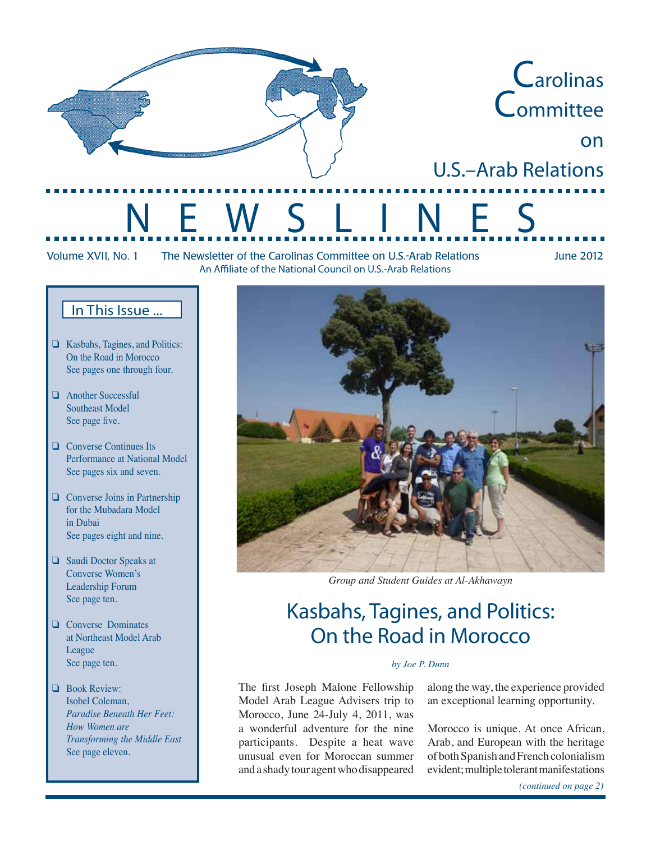

Volume XVII, No. 1 The Newsletter of the Carolinas Committee on U.S.-Arab Relations June 2012 An Affiliate of the National Council on U.S.-Arab Relations

### In This Issue ...

- ❏ Kasbahs, Tagines, and Politics: On the Road in Morocco See pages one through four.
- ❏ Another Successful Southeast Model See page five.
- ❏ Converse Continues Its Performance at National Model See pages six and seven.
- ❏ Converse Joins in Partnership for the Mubadara Model in Dubai See pages eight and nine.
- ❏ Saudi Doctor Speaks at Converse Women's Leadership Forum See page ten.
- ❏ Converse Dominates at Northeast Model Arab League See page ten.
- ❏ Book Review: Isobel Coleman, *Paradise Beneath Her Feet: How Women are Transforming the Middle East*  See page eleven.



*Group and Student Guides at Al-Akhawayn*

# Kasbahs, Tagines, and Politics: On the Road in Morocco

### *by Joe P. Dunn*

The first Joseph Malone Fellowship Model Arab League Advisers trip to Morocco, June 24-July 4, 2011, was a wonderful adventure for the nine participants. Despite a heat wave unusual even for Moroccan summer anda shadytour agentwhodisappeared

along the way, the experience provided an exceptional learning opportunity.

Morocco is unique. At once African, Arab, and European with the heritage of both Spanish and French colonialism evident;multipletolerantmanifestations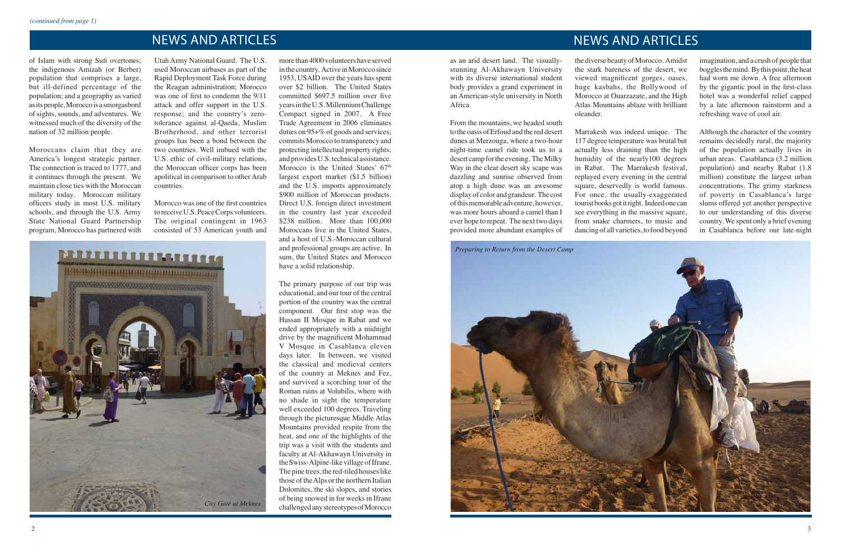### NEWS AND ARTICLES NEWS AND ARTICLES

of Islam with strong Sufi overtones; the indigenous Amizah (or Berber) population that comprises a large, but ill-defined percentage of the population; and a geography as varied as its people, Morocco is a smorgasbord of sights, sounds, and adventures. We witnessed much of the diversity of the nation of 32 million people.

Moroccans claim that they are America's longest strategic partner. The connection is traced to 1777, and it continues through the present. We maintain close ties with the Moroccan military today. Moroccan military officers study in most U.S. military schools, and through the U.S. Army State National Guard Partnership program, Morocco has partnered with

Utah Army National Guard. The U.S. used Moroccan airbases as part of the Rapid Deployment Task Force during the Reagan administration; Morocco was one of first to condemn the 9/11 attack and offer support in the U.S. response; and the country's zerotolerance against al-Qaeda, Muslim Brotherhood, and other terrorist groups has been a bond between the two countries. Well imbued with the U.S. ethic of civil-military relations, the Moroccan officer corps has been apolitical in comparison to other Arab countries.

more than 4000 volunteers have served inthe country. Active inMoroccosince 1953, USAID over the years has spent over \$2 billion. The United States committed \$697.5 million over five yearsintheU.S.MillenniumChallenge Compact signed in 2007. A Free Trade Agreement in 2006 eliminates duties on 95+% of goods and services; commits Morocco to transparency and protecting intellectual property rights; and provides U.S. technical assistance. Morocco is the United States' 67<sup>th</sup> largest export market (\$1.5 billion) and the U.S. imports approximately \$900 million of Moroccan products. Direct U.S. foreign direct investment in the country last year exceeded \$238 million. More than 100,000 Moroccans live in the United States, and a host of U.S.-Moroccan cultural and professional groups are active. In sum, the United States and Morocco have a solid relationship.

Morocco was one of the first countries to receive U.S. Peace Corps volunteers. The original contingent in 1963 consisted of 53 American youth and

> The primary purpose of our trip was educational, and our tour of the central portion of the country was the central component. Our first stop was the

Hassan II Mosque in Rabat and we ended appropriately with a midnight drive by the magnificent Mohammad V Mosque in Casablanca eleven days later. In between, we visited the classical and medieval centers of the country at Meknes and Fez, and survived a scorching tour of the Roman ruins at Volubilis, where with no shade in sight the temperature well exceeded 100 degrees. Traveling through the picturesque Middle Atlas Mountains provided respite from the heat, and one of the highlights of the trip was a visit with the students and faculty at Al-Akhawayn University in theSwiss-Alpine-likevillageofIfrane. The pine trees, the red-tiled houses like those of the Alps or the northern Italian Dolomites, the ski slopes, and stories of being snowed in for weeksin Ifrane challengedanystereotypesofMorocco

as an arid desert land. The visuallystunning Al-Akhawayn University with its diverse international student body provides a grand experiment in an American-style university in North Africa. From the mountains, we headed south

to the oasis of Erfoud and the red desert dunes at Merzouga, where a two-hour night-time camel ride took us to a desert campforthe evening. TheMilky Way in the clear desert sky scape was dazzling and sunrise observed from atop a high dune was an awesome displayof color andgrandeur. The cost ofthismemorable adventure,however, was more hours aboard a camel than I ever hope to repeat. The next two days provided more abundant examples of

thediversebeautyofMorocco. Amidst the stark bareness of the desert, we viewed magnificent gorges, oases, huge kasbahs, the Bollywood of Morocco at Ouarzazate, and the High Atlas Mountains ablaze with brilliant

oleander.

Marrakesh was indeed unique. The 117 degree temperature was brutal but actually less draining than the high humidity of the nearly100 degrees in Rabat. The Marrakesh festival, replayed every evening in the central square, deservedly is world famous. For once, the usually-exaggerated tourist books got it right. Indeed one can see everything in the massive square, from snake charmers, to music and dancing of all varieties,to food beyond

imagination, and a crush of people that bogglesthemind. Bythispoint,theheat had worn me down. A free afternoon by the gigantic pool in the first-class hotel was a wonderful relief capped by a late afternoon rainstorm and a refreshing wave of cool air.

Although the character of the country remains decidedly rural, the majority of the population actually lives in urban areas. Casablanca (3.2 million population) and nearby Rabat (1.8 million) constitute the largest urban concentrations. The grimy starkness of poverty in Casablanca's large slums offered yet another perspective to our understanding of this diverse country. We spent only a brief evening in Casablanca before our late-night



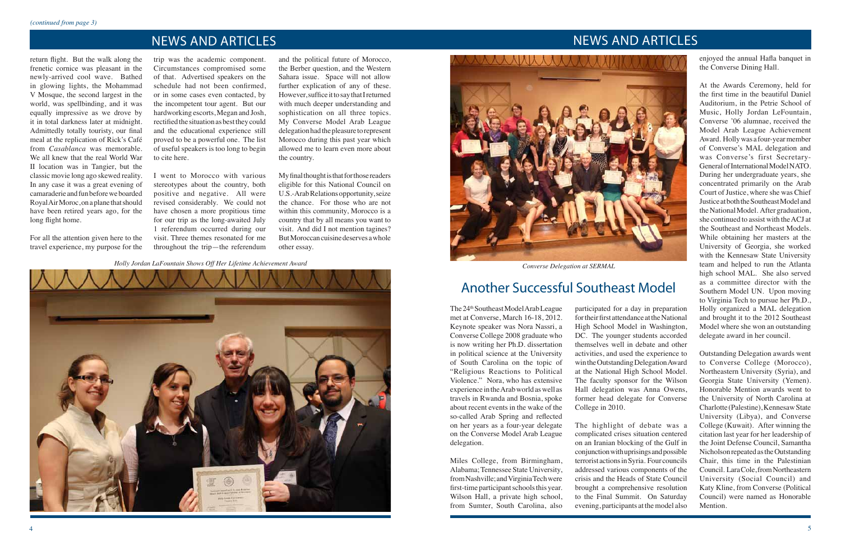*Holly Jordan LaFountain Shows Off Her Lifetime Achievement Award*



### NEWS AND ARTICLES

# NEWS AND ARTICLES

The 24<sup>th</sup> Southeast Model Arab League met at Converse, March 16-18, 2012. Keynote speaker was Nora Nassri, a Converse College 2008 graduate who is now writing her Ph.D. dissertation in political science at the University of South Carolina on the topic of "Religious Reactions to Political Violence." Nora, who has extensive experience intheArabworldaswell as travels in Rwanda and Bosnia, spoke about recent events in the wake of the so-called Arab Spring and reflected on her years as a four-year delegate on the Converse Model Arab League delegation.

Miles College, from Birmingham, Alabama;Tennessee State University, fromNashville;andVirginiaTechwere first-time participant schools this year. Wilson Hall, a private high school, from Sumter, South Carolina, also

participated for a day in preparation for their first attendance at the National High School Model in Washington, DC. The younger students accorded themselves well in debate and other activities, and used the experience to win the Outstanding Delegation Award at the National High School Model. The faculty sponsor for the Wilson Hall delegation was Anna Owens, former head delegate for Converse College in 2010.

The highlight of debate was a complicated crises situation centered on an Iranian blocking of the Gulf in conjunctionwithuprisingsandpossible terrorist actionsinSyria. Four councils addressed various components of the crisis and the Heads of State Council brought a comprehensive resolution to the Final Summit. On Saturday evening, participants at themodel also

return flight. But the walk along the frenetic cornice was pleasant in the newly-arrived cool wave. Bathed in glowing lights, the Mohammad V Mosque, the second largest in the world, was spellbinding, and it was equally impressive as we drove by it in total darkness later at midnight. Admittedly totally touristy, our final meal at the replication of Rick's Café from *Casablanca* was memorable. We all knew that the real World War II location was in Tangier, but the classic movie long ago skewed reality. In any case it was a great evening of camaraderie andfunbeforeweboarded RoyalAirMoroc,onaplane thatshould have been retired years ago, for the long flight home.

enjoyed the annual Hafla banquet in the Converse Dining Hall.

At the Awards Ceremony, held for the first time in the beautiful Daniel Auditorium, in the Petrie School of Music, Holly Jordan LeFountain, Converse '06 alumnae, received the Model Arab League Achievement Award. Hollywas a four-yearmember of Converse's MAL delegation and was Converse's first Secretary-General of International Model NATO. During her undergraduate years, she concentrated primarily on the Arab Court of Justice, where she was Chief JusticeatboththeSoutheastModeland the National Model. After graduation, she continued to assist with theACJ at the Southeast and Northeast Models. While obtaining her masters at the University of Georgia, she worked with the Kennesaw State University team and helped to run the Atlanta high school MAL. She also served as a committee director with the Southern Model UN. Upon moving to Virginia Tech to pursue her Ph.D., Holly organized a MAL delegation and brought it to the 2012 Southeast Model where she won an outstanding delegate award in her council.

My final thought is that for those readers eligible for this National Council on U.S.-Arab Relations opportunity, seize the chance. For those who are not within this community, Morocco is a country that by all means you want to visit. And did I not mention tagines? But Moroccan cuisine deserves a whole other essay.

> Outstanding Delegation awards went to Converse College (Morocco), Northeastern University (Syria), and Georgia State University (Yemen). Honorable Mention awards went to the University of North Carolina at Charlotte (Palestine), Kennesaw State University (Libya), and Converse College (Kuwait). After winning the citation last year for her leadership of the Joint Defense Council, Samantha Nicholson repeated as the Outstanding Chair, this time in the Palestinian Council. Lara Cole, from Northeastern University (Social Council) and Katy Kline, from Converse (Political Council) were named as Honorable Mention.

For all the attention given here to the travel experience, my purpose for the

trip was the academic component. Circumstances compromised some of that. Advertised speakers on the schedule had not been confirmed, or in some cases even contacted, by the incompetent tour agent. But our hardworking escorts, Megan and Josh, rectified the situation as best they could and the educational experience still proved to be a powerful one. The list of useful speakers is too long to begin to cite here.

I went to Morocco with various stereotypes about the country, both positive and negative. All were revised considerably. We could not have chosen a more propitious time for our trip as the long-awaited July 1 referendum occurred during our visit. Three themes resonated for me throughout the trip—the referendum

and the political future of Morocco, the Berber question, and the Western Sahara issue. Space will not allow further explication of any of these. However, suffice it to say that I returned with much deeper understanding and sophistication on all three topics. My Converse Model Arab League delegation had the pleasure to represent Morocco during this past year which allowed me to learn even more about the country.



*Converse Delegation at SERMAL*

# Another Successful Southeast Model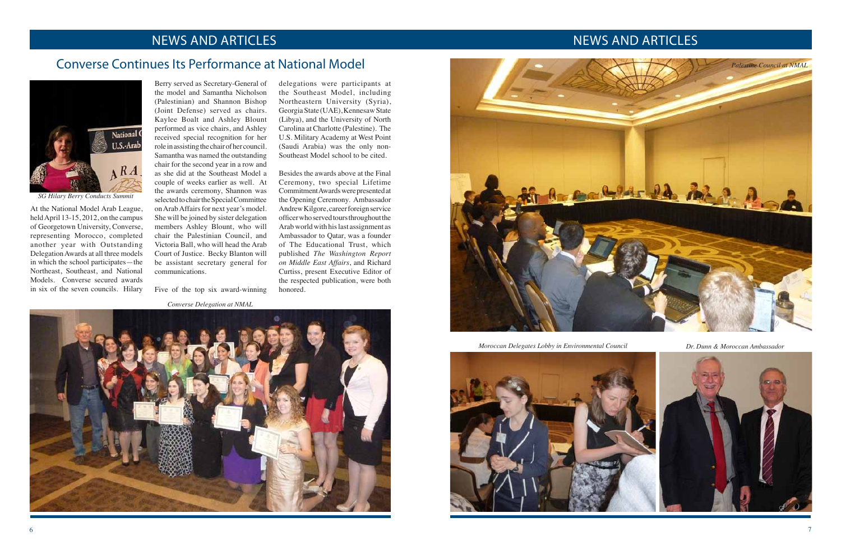## NEWS AND ARTICLES NEWS AND ARTICLES

### Converse Continues Its Performance at National Model

At the National Model Arab League, held April 13-15, 2012, on the campus of Georgetown University, Converse, representing Morocco, completed another year with Outstanding DelegationAwards at all three models in which the school participates—the Northeast, Southeast, and National Models. Converse secured awards in six of the seven councils. Hilary

Berry served as Secretary-General of the model and Samantha Nicholson (Palestinian) and Shannon Bishop (Joint Defense) served as chairs. Kaylee Boalt and Ashley Blount performed as vice chairs, and Ashley received special recognition for her role in assisting the chair of her council. Samantha was named the outstanding chair for the second year in a row and as she did at the Southeast Model a couple of weeks earlier as well. At the awards ceremony, Shannon was selected to chair the Special Committee on Arab Affairs for next year's model. She will be joined by sister delegation members Ashley Blount, who will chair the Palestinian Council, and Victoria Ball, who will head the Arab Court of Justice. Becky Blanton will be assistant secretary general for communications.

Five of the top six award-winning

delegations were participants at the Southeast Model, including Northeastern University (Syria), GeorgiaState (UAE),KennesawState (Libya), and the University of North Carolina at Charlotte (Palestine). The U.S. Military Academy at West Point (Saudi Arabia) was the only non-Southeast Model school to be cited.

Besides the awards above at the Final Ceremony, two special Lifetime Commitment Awards were presented at the Opening Ceremony. Ambassador Andrew Kilgore, career foreign service officer who served tours throughout the Arabworldwith hislast assignment as Ambassador to Qatar, was a founder of The Educational Trust, which published *The Washington Report on Middle East Affairs*, and Richard Curtiss, present Executive Editor of the respected publication, were both honored.





*SG Hilary Berry Conducts Summit*

*Converse Delegation at NMAL*



*Moroccan Delegates Lobby in Environmental Council Dr. Dunn & Moroccan Ambassador*

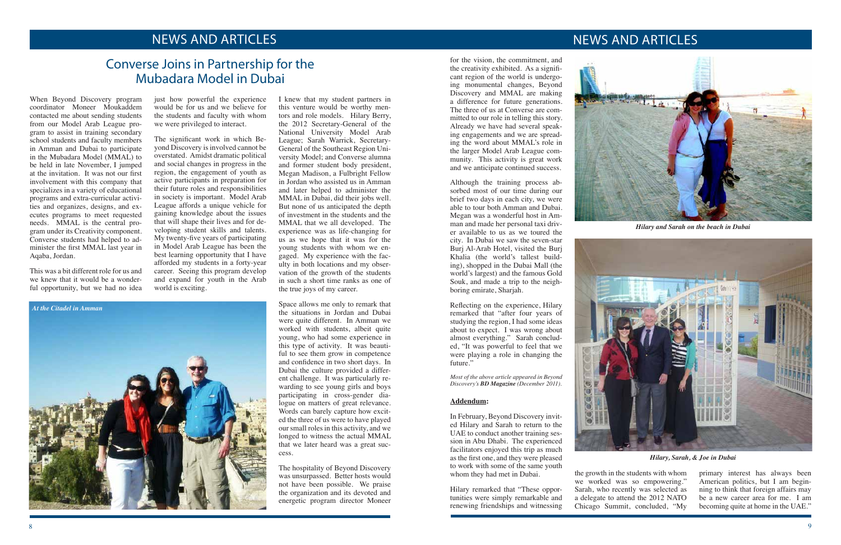## NEWS AND ARTICLES NEWS AND ARTICLES

## Converse Joins in Partnership for the Mubadara Model in Dubai

When Beyond Discovery program coordinator Moneer Moukaddem contacted me about sending students from our Model Arab League program to assist in training secondary school students and faculty members in Amman and Dubai to participate in the Mubadara Model (MMAL) to be held in late November, I jumped at the invitation. It was not our first involvement with this company that specializes in a variety of educational programs and extra-curricular activities and organizes, designs, and executes programs to meet requested needs. MMAL is the central program under its Creativity component. Converse students had helped to administer the first MMAL last year in Aqaba, Jordan.

This was a bit different role for us and we knew that it would be a wonderful opportunity, but we had no idea

just how powerful the experience would be for us and we believe for the students and faculty with whom we were privileged to interact.

The significant work in which Beyond Discovery is involved cannot be overstated. Amidst dramatic political and social changes in progress in the region, the engagement of youth as active participants in preparation for their future roles and responsibilities in society is important. Model Arab League affords a unique vehicle for gaining knowledge about the issues that will shape their lives and for developing student skills and talents. My twenty-five years of participating in Model Arab League has been the best learning opportunity that I have afforded my students in a forty-year career. Seeing this program develop and expand for youth in the Arab world is exciting.

I knew that my student partners in this venture would be worthy mentors and role models. Hilary Berry, the 2012 Secretary-General of the National University Model Arab League; Sarah Warrick, Secretary-General of the Southeast Region University Model; and Converse alumna and former student body president, Megan Madison, a Fulbright Fellow in Jordan who assisted us in Amman and later helped to administer the MMAL in Dubai, did their jobs well. But none of us anticipated the depth of investment in the students and the MMAL that we all developed. The experience was as life-changing for us as we hope that it was for the young students with whom we engaged. My experience with the faculty in both locations and my observation of the growth of the students in such a short time ranks as one of the true joys of my career.

> Reflecting on the experience, Hilary remarked that "after four years of studying the region, I had some ideas about to expect. I was wrong about almost everything." Sarah concluded, "It was powerful to feel that we were playing a role in changing the future."

Space allows me only to remark that the situations in Jordan and Dubai were quite different. In Amman we worked with students, albeit quite young, who had some experience in this type of activity. It was beautiful to see them grow in competence and confidence in two short days. In Dubai the culture provided a different challenge. It was particularly rewarding to see young girls and boys participating in cross-gender dialogue on matters of great relevance. Words can barely capture how excited the three of us were to have played our small roles in this activity, and we longed to witness the actual MMAL that we later heard was a great success.

The hospitality of Beyond Discovery was unsurpassed. Better hosts would not have been possible. We praise the organization and its devoted and energetic program director Moneer

for the vision, the commitment, and the creativity exhibited. As a significant region of the world is undergoing monumental changes, Beyond Discovery and MMAL are making a difference for future generations. The three of us at Converse are committed to our role in telling this story. Already we have had several speaking engagements and we are spreading the word about MMAL's role in the larger Model Arab League community. This activity is great work and we anticipate continued success.

Although the training process absorbed most of our time during our brief two days in each city, we were able to tour both Amman and Dubai. Megan was a wonderful host in Amman and made her personal taxi driver available to us as we toured the city. In Dubai we saw the seven-star Burj Al-Arab Hotel, visited the Burj Khalia (the world's tallest building), shopped in the Dubai Mall (the world's largest) and the famous Gold Souk, and made a trip to the neighboring emirate, Sharjah.

*Most of the above article appeared in Beyond Discovery's BD Magazine (December 2011).*

### **Addendum:**

In February, Beyond Discovery invited Hilary and Sarah to return to the UAE to conduct another training session in Abu Dhabi. The experienced facilitators enjoyed this trip as much as the first one, and they were pleased to work with some of the same youth whom they had met in Dubai.

Hilary remarked that "These opportunities were simply remarkable and renewing friendships and witnessing



the growth in the students with whom we worked was so empowering." Sarah, who recently was selected as a delegate to attend the 2012 NATO Chicago Summit, concluded, "My

primary interest has always been American politics, but I am beginning to think that foreign affairs may be a new career area for me. I am becoming quite at home in the UAE."



*Hilary and Sarah on the beach in Dubai*



*Hilary, Sarah, & Joe in Dubai*